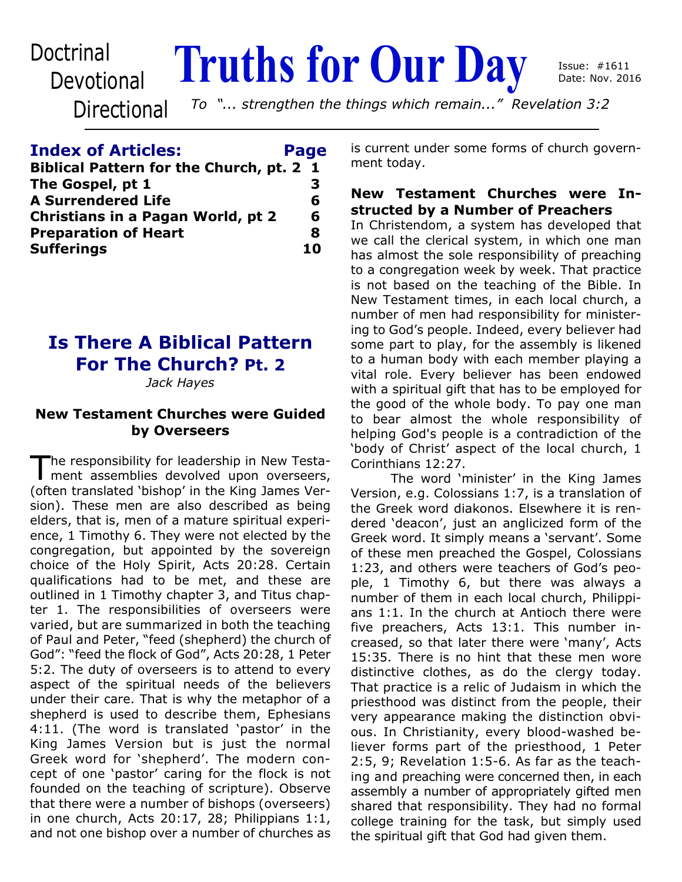## **Devotional**

# Doctrinal **Truths for Our Day**

**Directional** 

*To "... strengthen the things which remain..." Revelation 3:2*

#### **Index of Articles: Page**

| Biblical Pattern for the Church, pt. 2 1 |    |
|------------------------------------------|----|
| The Gospel, pt 1                         | З  |
| <b>A Surrendered Life</b>                | 6  |
| Christians in a Pagan World, pt 2        | 6  |
| <b>Preparation of Heart</b>              | 8  |
| <b>Sufferings</b>                        | 10 |

## **Is There A Biblical Pattern For The Church? Pt. 2**

*Jack Hayes*

#### **New Testament Churches were Guided by Overseers**

The responsibility for leadership in New Testa-<br>ment assemblies devolved upon overseers, he responsibility for leadership in New Testa-(often translated 'bishop' in the King James Version). These men are also described as being elders, that is, men of a mature spiritual experience, 1 Timothy 6. They were not elected by the congregation, but appointed by the sovereign choice of the Holy Spirit, Acts 20:28. Certain qualifications had to be met, and these are outlined in 1 Timothy chapter 3, and Titus chapter 1. The responsibilities of overseers were varied, but are summarized in both the teaching of Paul and Peter, "feed (shepherd) the church of God": "feed the flock of God", Acts 20:28, 1 Peter 5:2. The duty of overseers is to attend to every aspect of the spiritual needs of the believers under their care. That is why the metaphor of a shepherd is used to describe them, Ephesians 4:11. (The word is translated 'pastor' in the King James Version but is just the normal Greek word for 'shepherd'. The modern concept of one 'pastor' caring for the flock is not founded on the teaching of scripture). Observe that there were a number of bishops (overseers) in one church, Acts 20:17, 28; Philippians 1:1, and not one bishop over a number of churches as

is current under some forms of church government today.

#### **New Testament Churches were Instructed by a Number of Preachers**

In Christendom, a system has developed that we call the clerical system, in which one man has almost the sole responsibility of preaching to a congregation week by week. That practice is not based on the teaching of the Bible. In New Testament times, in each local church, a number of men had responsibility for ministering to God's people. Indeed, every believer had some part to play, for the assembly is likened to a human body with each member playing a vital role. Every believer has been endowed with a spiritual gift that has to be employed for the good of the whole body. To pay one man to bear almost the whole responsibility of helping God's people is a contradiction of the 'body of Christ' aspect of the local church, 1 Corinthians 12:27.

 The word 'minister' in the King James Version, e.g. Colossians 1:7, is a translation of the Greek word diakonos. Elsewhere it is rendered 'deacon', just an anglicized form of the Greek word. It simply means a 'servant'. Some of these men preached the Gospel, Colossians 1:23, and others were teachers of God's people, 1 Timothy 6, but there was always a number of them in each local church, Philippians 1:1. In the church at Antioch there were five preachers, Acts 13:1. This number increased, so that later there were 'many', Acts 15:35. There is no hint that these men wore distinctive clothes, as do the clergy today. That practice is a relic of Judaism in which the priesthood was distinct from the people, their very appearance making the distinction obvious. In Christianity, every blood-washed believer forms part of the priesthood, 1 Peter 2:5, 9; Revelation 1:5-6. As far as the teaching and preaching were concerned then, in each assembly a number of appropriately gifted men shared that responsibility. They had no formal college training for the task, but simply used the spiritual gift that God had given them.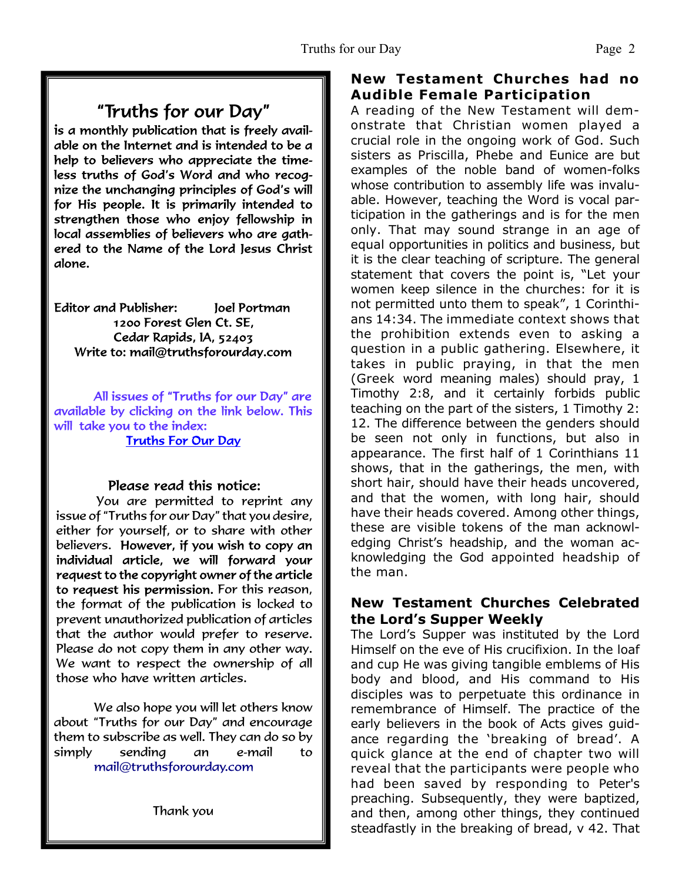## "Truths for our Day"

is a monthly publication that is freely available on the Internet and is intended to be a help to believers who appreciate the timeless truths of God's Word and who recognize the unchanging principles of God's will for His people. It is primarily intended to strengthen those who enjoy fellowship in local assemblies of believers who are gathered to the Name of the Lord Jesus Christ alone.

**Editor and Publisher:** Joel Portman 1200 Forest Glen Ct. SE. Cedar Rapids, IA, 52403 Write to: mail@truthsforourday.com

All issues of "Truths for our Day" are available by clicking on the link below. This will take you to the index: **Truths For Our Day** 

#### Please read this notice:

You are permitted to reprint any issue of "Truths for our Day" that you desire, either for yourself, or to share with other believers. However, if you wish to copy an individual article, we will forward your request to the copyright owner of the article to request his permission. For this reason, the format of the publication is locked to prevent unauthorized publication of articles that the author would prefer to reserve. Please do not copy them in any other way. We want to respect the ownership of all those who have written articles.

 We also hope you will let others know about "Truths for our Day" and encourage them to subscribe as well. They can do so by simply sending an e-mail to mail@truthsforourday.com

Thank you

#### **New Testament Churches had no Audible Female Participation**

A reading of the New Testament will demonstrate that Christian women played a crucial role in the ongoing work of God. Such sisters as Priscilla, Phebe and Eunice are but examples of the noble band of women-folks whose contribution to assembly life was invaluable. However, teaching the Word is vocal participation in the gatherings and is for the men only. That may sound strange in an age of equal opportunities in politics and business, but it is the clear teaching of scripture. The general statement that covers the point is, "Let your women keep silence in the churches: for it is not permitted unto them to speak", 1 Corinthians 14:34. The immediate context shows that the prohibition extends even to asking a question in a public gathering. Elsewhere, it takes in public praying, in that the men (Greek word meaning males) should pray, 1 Timothy 2:8, and it certainly forbids public teaching on the part of the sisters, 1 Timothy 2: 12. The difference between the genders should be seen not only in functions, but also in appearance. The first half of 1 Corinthians 11 shows, that in the gatherings, the men, with short hair, should have their heads uncovered, and that the women, with long hair, should have their heads covered. Among other things, these are visible tokens of the man acknowledging Christ's headship, and the woman acknowledging the God appointed headship of the man.

#### **New Testament Churches Celebrated the Lord's Supper Weekly**

The Lord's Supper was instituted by the Lord Himself on the eve of His crucifixion. In the loaf and cup He was giving tangible emblems of His body and blood, and His command to His disciples was to perpetuate this ordinance in remembrance of Himself. The practice of the early believers in the book of Acts gives guidance regarding the 'breaking of bread'. A quick glance at the end of chapter two will reveal that the participants were people who had been saved by responding to Peter's preaching. Subsequently, they were baptized, and then, among other things, they continued steadfastly in the breaking of bread, v 42. That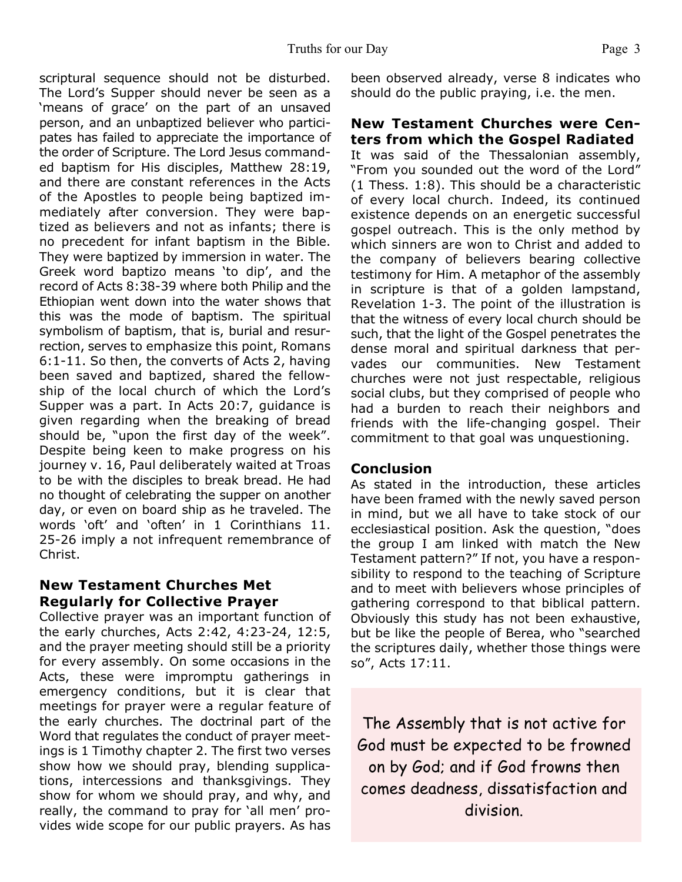scriptural sequence should not be disturbed. The Lord's Supper should never be seen as a 'means of grace' on the part of an unsaved person, and an unbaptized believer who participates has failed to appreciate the importance of the order of Scripture. The Lord Jesus commanded baptism for His disciples, Matthew 28:19, and there are constant references in the Acts of the Apostles to people being baptized immediately after conversion. They were baptized as believers and not as infants; there is no precedent for infant baptism in the Bible. They were baptized by immersion in water. The Greek word baptizo means 'to dip', and the record of Acts 8:38-39 where both Philip and the Ethiopian went down into the water shows that this was the mode of baptism. The spiritual symbolism of baptism, that is, burial and resurrection, serves to emphasize this point, Romans 6:1-11. So then, the converts of Acts 2, having been saved and baptized, shared the fellowship of the local church of which the Lord's Supper was a part. In Acts 20:7, guidance is given regarding when the breaking of bread should be, "upon the first day of the week". Despite being keen to make progress on his journey v. 16, Paul deliberately waited at Troas to be with the disciples to break bread. He had no thought of celebrating the supper on another day, or even on board ship as he traveled. The words 'oft' and 'often' in 1 Corinthians 11. 25-26 imply a not infrequent remembrance of Christ.

#### **New Testament Churches Met Regularly for Collective Prayer**

Collective prayer was an important function of the early churches, Acts 2:42, 4:23-24, 12:5, and the prayer meeting should still be a priority for every assembly. On some occasions in the Acts, these were impromptu gatherings in emergency conditions, but it is clear that meetings for prayer were a regular feature of the early churches. The doctrinal part of the Word that regulates the conduct of prayer meetings is 1 Timothy chapter 2. The first two verses show how we should pray, blending supplications, intercessions and thanksgivings. They show for whom we should pray, and why, and really, the command to pray for 'all men' provides wide scope for our public prayers. As has

been observed already, verse 8 indicates who should do the public praying, i.e. the men.

#### **New Testament Churches were Centers from which the Gospel Radiated**

It was said of the Thessalonian assembly, "From you sounded out the word of the Lord" (1 Thess. 1:8). This should be a characteristic of every local church. Indeed, its continued existence depends on an energetic successful gospel outreach. This is the only method by which sinners are won to Christ and added to the company of believers bearing collective testimony for Him. A metaphor of the assembly in scripture is that of a golden lampstand, Revelation 1-3. The point of the illustration is that the witness of every local church should be such, that the light of the Gospel penetrates the dense moral and spiritual darkness that pervades our communities. New Testament churches were not just respectable, religious social clubs, but they comprised of people who had a burden to reach their neighbors and friends with the life-changing gospel. Their commitment to that goal was unquestioning.

#### **Conclusion**

As stated in the introduction, these articles have been framed with the newly saved person in mind, but we all have to take stock of our ecclesiastical position. Ask the question, "does the group I am linked with match the New Testament pattern?" If not, you have a responsibility to respond to the teaching of Scripture and to meet with believers whose principles of gathering correspond to that biblical pattern. Obviously this study has not been exhaustive, but be like the people of Berea, who "searched the scriptures daily, whether those things were so", Acts 17:11.

The Assembly that is not active for God must be expected to be frowned on by God; and if God frowns then comes deadness, dissatisfaction and division.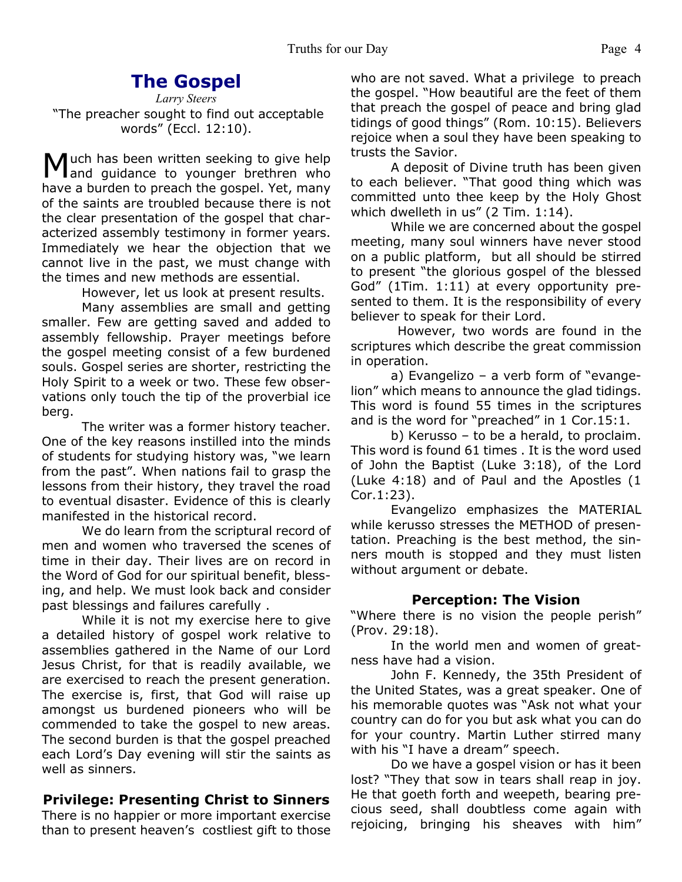### **The Gospel**

*Larry Steers* "The preacher sought to find out acceptable words" (Eccl. 12:10).

Much has been written seeking to give help<br>and guidance to younger brethren who and quidance to younger brethren who have a burden to preach the gospel. Yet, many of the saints are troubled because there is not the clear presentation of the gospel that characterized assembly testimony in former years. Immediately we hear the objection that we cannot live in the past, we must change with the times and new methods are essential.

However, let us look at present results.

 Many assemblies are small and getting smaller. Few are getting saved and added to assembly fellowship. Prayer meetings before the gospel meeting consist of a few burdened souls. Gospel series are shorter, restricting the Holy Spirit to a week or two. These few observations only touch the tip of the proverbial ice berg.

 The writer was a former history teacher. One of the key reasons instilled into the minds of students for studying history was, "we learn from the past". When nations fail to grasp the lessons from their history, they travel the road to eventual disaster. Evidence of this is clearly manifested in the historical record.

 We do learn from the scriptural record of men and women who traversed the scenes of time in their day. Their lives are on record in the Word of God for our spiritual benefit, blessing, and help. We must look back and consider past blessings and failures carefully .

 While it is not my exercise here to give a detailed history of gospel work relative to assemblies gathered in the Name of our Lord Jesus Christ, for that is readily available, we are exercised to reach the present generation. The exercise is, first, that God will raise up amongst us burdened pioneers who will be commended to take the gospel to new areas. The second burden is that the gospel preached each Lord's Day evening will stir the saints as well as sinners.

#### **Privilege: Presenting Christ to Sinners**

There is no happier or more important exercise than to present heaven's costliest gift to those

who are not saved. What a privilege to preach the gospel. "How beautiful are the feet of them that preach the gospel of peace and bring glad tidings of good things" (Rom. 10:15). Believers rejoice when a soul they have been speaking to trusts the Savior.

 A deposit of Divine truth has been given to each believer. "That good thing which was committed unto thee keep by the Holy Ghost which dwelleth in us" (2 Tim. 1:14).

 While we are concerned about the gospel meeting, many soul winners have never stood on a public platform, but all should be stirred to present "the glorious gospel of the blessed God" (1Tim. 1:11) at every opportunity presented to them. It is the responsibility of every believer to speak for their Lord.

 However, two words are found in the scriptures which describe the great commission in operation.

 a) Evangelizo – a verb form of "evangelion" which means to announce the glad tidings. This word is found 55 times in the scriptures and is the word for "preached" in 1 Cor.15:1.

 b) Kerusso – to be a herald, to proclaim. This word is found 61 times . It is the word used of John the Baptist (Luke 3:18), of the Lord (Luke 4:18) and of Paul and the Apostles (1 Cor.1:23).

 Evangelizo emphasizes the MATERIAL while kerusso stresses the METHOD of presentation. Preaching is the best method, the sinners mouth is stopped and they must listen without argument or debate.

#### **Perception: The Vision**

"Where there is no vision the people perish" (Prov. 29:18).

 In the world men and women of greatness have had a vision.

 John F. Kennedy, the 35th President of the United States, was a great speaker. One of his memorable quotes was "Ask not what your country can do for you but ask what you can do for your country. Martin Luther stirred many with his "I have a dream" speech.

 Do we have a gospel vision or has it been lost? "They that sow in tears shall reap in joy. He that goeth forth and weepeth, bearing precious seed, shall doubtless come again with rejoicing, bringing his sheaves with him"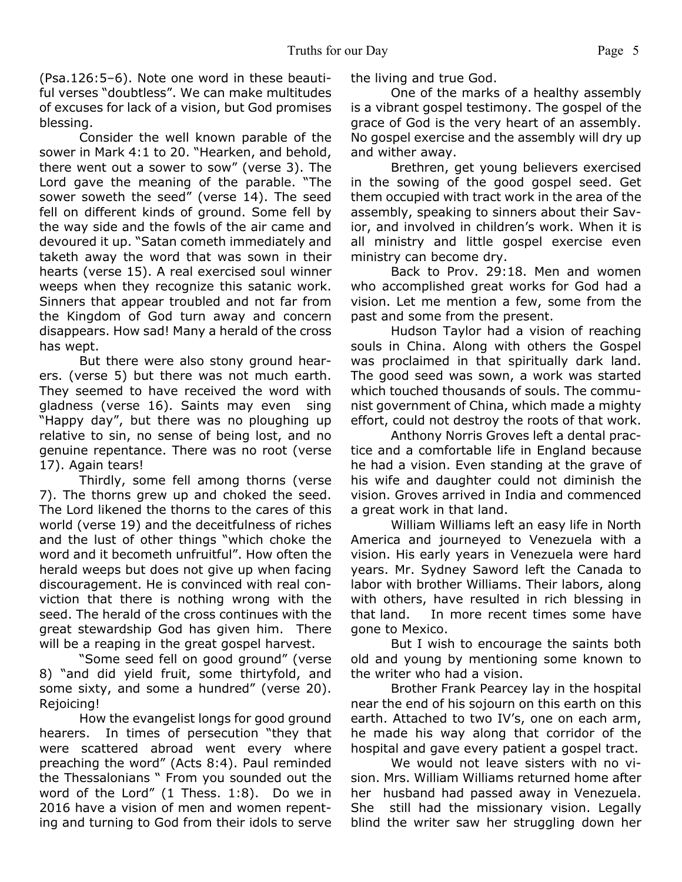(Psa.126:5–6). Note one word in these beautiful verses "doubtless". We can make multitudes of excuses for lack of a vision, but God promises blessing.

 Consider the well known parable of the sower in Mark 4:1 to 20. "Hearken, and behold, there went out a sower to sow" (verse 3). The Lord gave the meaning of the parable. "The sower soweth the seed" (verse 14). The seed fell on different kinds of ground. Some fell by the way side and the fowls of the air came and devoured it up. "Satan cometh immediately and taketh away the word that was sown in their hearts (verse 15). A real exercised soul winner weeps when they recognize this satanic work. Sinners that appear troubled and not far from the Kingdom of God turn away and concern disappears. How sad! Many a herald of the cross has wept.

 But there were also stony ground hearers. (verse 5) but there was not much earth. They seemed to have received the word with gladness (verse 16). Saints may even sing "Happy day", but there was no ploughing up relative to sin, no sense of being lost, and no genuine repentance. There was no root (verse 17). Again tears!

 Thirdly, some fell among thorns (verse 7). The thorns grew up and choked the seed. The Lord likened the thorns to the cares of this world (verse 19) and the deceitfulness of riches and the lust of other things "which choke the word and it becometh unfruitful". How often the herald weeps but does not give up when facing discouragement. He is convinced with real conviction that there is nothing wrong with the seed. The herald of the cross continues with the great stewardship God has given him. There will be a reaping in the great gospel harvest.

 "Some seed fell on good ground" (verse 8) "and did yield fruit, some thirtyfold, and some sixty, and some a hundred" (verse 20). Rejoicing!

 How the evangelist longs for good ground hearers. In times of persecution "they that were scattered abroad went every where preaching the word" (Acts 8:4). Paul reminded the Thessalonians " From you sounded out the word of the Lord" (1 Thess. 1:8). Do we in 2016 have a vision of men and women repenting and turning to God from their idols to serve the living and true God.

 One of the marks of a healthy assembly is a vibrant gospel testimony. The gospel of the grace of God is the very heart of an assembly. No gospel exercise and the assembly will dry up and wither away.

 Brethren, get young believers exercised in the sowing of the good gospel seed. Get them occupied with tract work in the area of the assembly, speaking to sinners about their Savior, and involved in children's work. When it is all ministry and little gospel exercise even ministry can become dry.

 Back to Prov. 29:18. Men and women who accomplished great works for God had a vision. Let me mention a few, some from the past and some from the present.

 Hudson Taylor had a vision of reaching souls in China. Along with others the Gospel was proclaimed in that spiritually dark land. The good seed was sown, a work was started which touched thousands of souls. The communist government of China, which made a mighty effort, could not destroy the roots of that work.

 Anthony Norris Groves left a dental practice and a comfortable life in England because he had a vision. Even standing at the grave of his wife and daughter could not diminish the vision. Groves arrived in India and commenced a great work in that land.

 William Williams left an easy life in North America and journeyed to Venezuela with a vision. His early years in Venezuela were hard years. Mr. Sydney Saword left the Canada to labor with brother Williams. Their labors, along with others, have resulted in rich blessing in that land. In more recent times some have gone to Mexico.

 But I wish to encourage the saints both old and young by mentioning some known to the writer who had a vision.

 Brother Frank Pearcey lay in the hospital near the end of his sojourn on this earth on this earth. Attached to two IV's, one on each arm, he made his way along that corridor of the hospital and gave every patient a gospel tract.

We would not leave sisters with no vision. Mrs. William Williams returned home after her husband had passed away in Venezuela. She still had the missionary vision. Legally blind the writer saw her struggling down her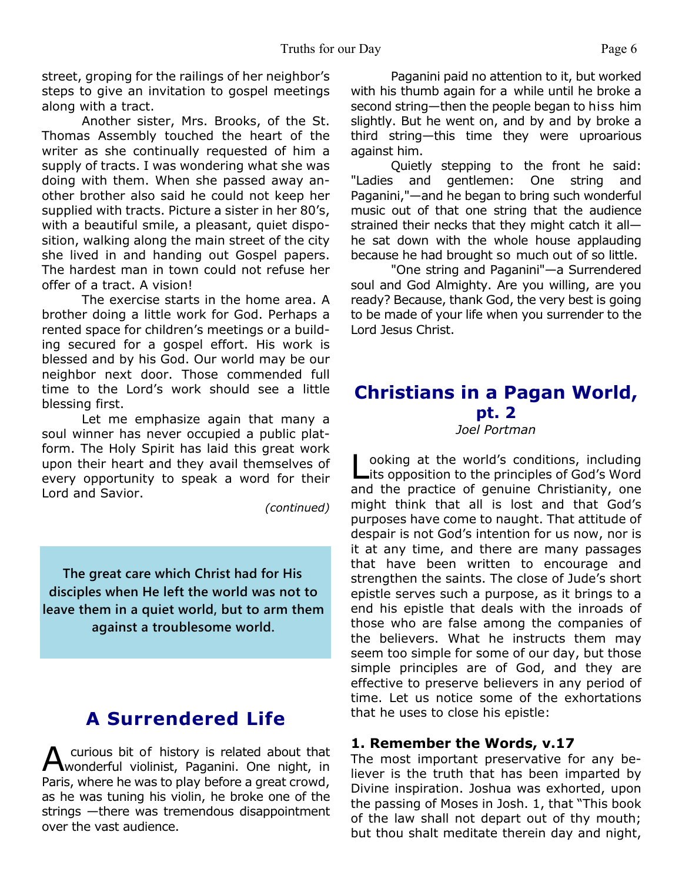street, groping for the railings of her neighbor's steps to give an invitation to gospel meetings along with a tract.

 Another sister, Mrs. Brooks, of the St. Thomas Assembly touched the heart of the writer as she continually requested of him a supply of tracts. I was wondering what she was doing with them. When she passed away another brother also said he could not keep her supplied with tracts. Picture a sister in her 80's, with a beautiful smile, a pleasant, quiet disposition, walking along the main street of the city she lived in and handing out Gospel papers. The hardest man in town could not refuse her offer of a tract. A vision!

 The exercise starts in the home area. A brother doing a little work for God. Perhaps a rented space for children's meetings or a building secured for a gospel effort. His work is blessed and by his God. Our world may be our neighbor next door. Those commended full time to the Lord's work should see a little blessing first.

Let me emphasize again that many a soul winner has never occupied a public platform. The Holy Spirit has laid this great work upon their heart and they avail themselves of every opportunity to speak a word for their Lord and Savior.

*(continued)*

 **The great care which Christ had for His disciples when He left the world was not to leave them in a quiet world, but to arm them against a troublesome world.**

## **A Surrendered Life**

A curious bit of history is related about that<br>wonderful violinist, Paganini. One night, in curious bit of history is related about that Paris, where he was to play before a great crowd, as he was tuning his violin, he broke one of the strings —there was tremendous disappointment over the vast audience.

Paganini paid no attention to it, but worked with his thumb again for a while until he broke a second string—then the people began to hiss him slightly. But he went on, and by and by broke a third string—this time they were uproarious against him.

Quietly stepping to the front he said: "Ladies and gentlemen: One string and Paganini,"—and he began to bring such wonderful music out of that one string that the audience strained their necks that they might catch it all he sat down with the whole house applauding because he had brought so much out of so little.

"One string and Paganini"—a Surrendered soul and God Almighty. Are you willing, are you ready? Because, thank God, the very best is going to be made of your life when you surrender to the Lord Jesus Christ.

## **Christians in a Pagan World, pt. 2**

*Joel Portman*

Looking at the world's conditions, including<br>Lits opposition to the principles of God's Word ooking at the world's conditions, including and the practice of genuine Christianity, one might think that all is lost and that God's purposes have come to naught. That attitude of despair is not God's intention for us now, nor is it at any time, and there are many passages that have been written to encourage and strengthen the saints. The close of Jude's short epistle serves such a purpose, as it brings to a end his epistle that deals with the inroads of those who are false among the companies of the believers. What he instructs them may seem too simple for some of our day, but those simple principles are of God, and they are effective to preserve believers in any period of time. Let us notice some of the exhortations that he uses to close his epistle:

#### **1. Remember the Words, v.17**

The most important preservative for any believer is the truth that has been imparted by Divine inspiration. Joshua was exhorted, upon the passing of Moses in Josh. 1, that "This book of the law shall not depart out of thy mouth; but thou shalt meditate therein day and night,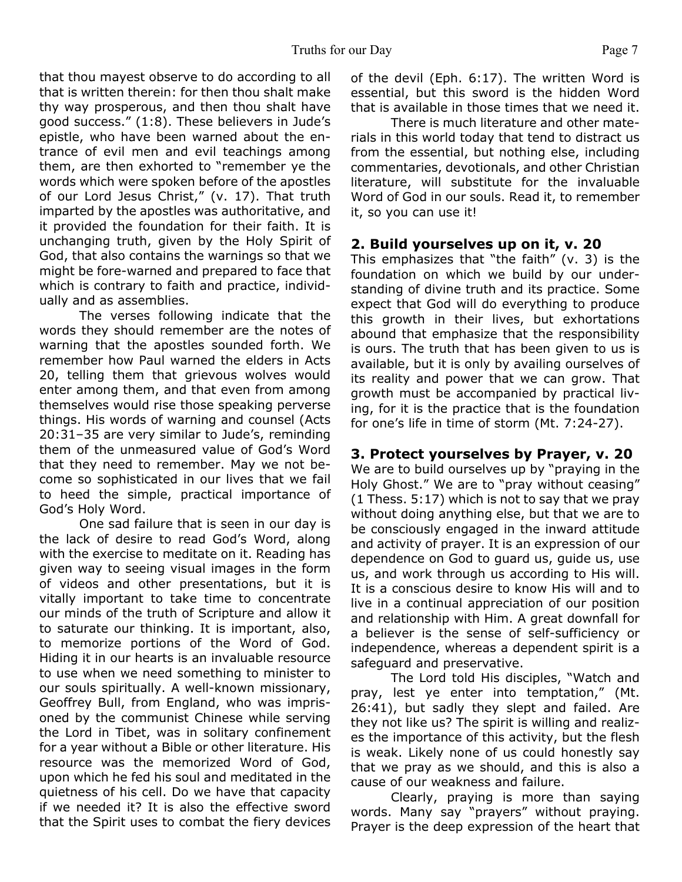that thou mayest observe to do according to all that is written therein: for then thou shalt make thy way prosperous, and then thou shalt have good success." (1:8). These believers in Jude's epistle, who have been warned about the entrance of evil men and evil teachings among them, are then exhorted to "remember ye the words which were spoken before of the apostles of our Lord Jesus Christ," (v. 17). That truth imparted by the apostles was authoritative, and it provided the foundation for their faith. It is unchanging truth, given by the Holy Spirit of God, that also contains the warnings so that we might be fore-warned and prepared to face that which is contrary to faith and practice, individually and as assemblies.

The verses following indicate that the words they should remember are the notes of warning that the apostles sounded forth. We remember how Paul warned the elders in Acts 20, telling them that grievous wolves would enter among them, and that even from among themselves would rise those speaking perverse things. His words of warning and counsel (Acts 20:31–35 are very similar to Jude's, reminding them of the unmeasured value of God's Word that they need to remember. May we not become so sophisticated in our lives that we fail to heed the simple, practical importance of God's Holy Word.

 One sad failure that is seen in our day is the lack of desire to read God's Word, along with the exercise to meditate on it. Reading has given way to seeing visual images in the form of videos and other presentations, but it is vitally important to take time to concentrate our minds of the truth of Scripture and allow it to saturate our thinking. It is important, also, to memorize portions of the Word of God. Hiding it in our hearts is an invaluable resource to use when we need something to minister to our souls spiritually. A well-known missionary, Geoffrey Bull, from England, who was imprisoned by the communist Chinese while serving the Lord in Tibet, was in solitary confinement for a year without a Bible or other literature. His resource was the memorized Word of God, upon which he fed his soul and meditated in the quietness of his cell. Do we have that capacity if we needed it? It is also the effective sword that the Spirit uses to combat the fiery devices of the devil (Eph. 6:17). The written Word is essential, but this sword is the hidden Word that is available in those times that we need it.

 There is much literature and other materials in this world today that tend to distract us from the essential, but nothing else, including commentaries, devotionals, and other Christian literature, will substitute for the invaluable Word of God in our souls. Read it, to remember it, so you can use it!

#### **2. Build yourselves up on it, v. 20**

This emphasizes that "the faith" (v. 3) is the foundation on which we build by our understanding of divine truth and its practice. Some expect that God will do everything to produce this growth in their lives, but exhortations abound that emphasize that the responsibility is ours. The truth that has been given to us is available, but it is only by availing ourselves of its reality and power that we can grow. That growth must be accompanied by practical living, for it is the practice that is the foundation for one's life in time of storm (Mt. 7:24-27).

#### **3. Protect yourselves by Prayer, v. 20**

We are to build ourselves up by "praying in the Holy Ghost." We are to "pray without ceasing" (1 Thess. 5:17) which is not to say that we pray without doing anything else, but that we are to be consciously engaged in the inward attitude and activity of prayer. It is an expression of our dependence on God to guard us, guide us, use us, and work through us according to His will. It is a conscious desire to know His will and to live in a continual appreciation of our position and relationship with Him. A great downfall for a believer is the sense of self-sufficiency or independence, whereas a dependent spirit is a safeguard and preservative.

 The Lord told His disciples, "Watch and pray, lest ye enter into temptation," (Mt. 26:41), but sadly they slept and failed. Are they not like us? The spirit is willing and realizes the importance of this activity, but the flesh is weak. Likely none of us could honestly say that we pray as we should, and this is also a cause of our weakness and failure.

Clearly, praying is more than saying words. Many say "prayers" without praying. Prayer is the deep expression of the heart that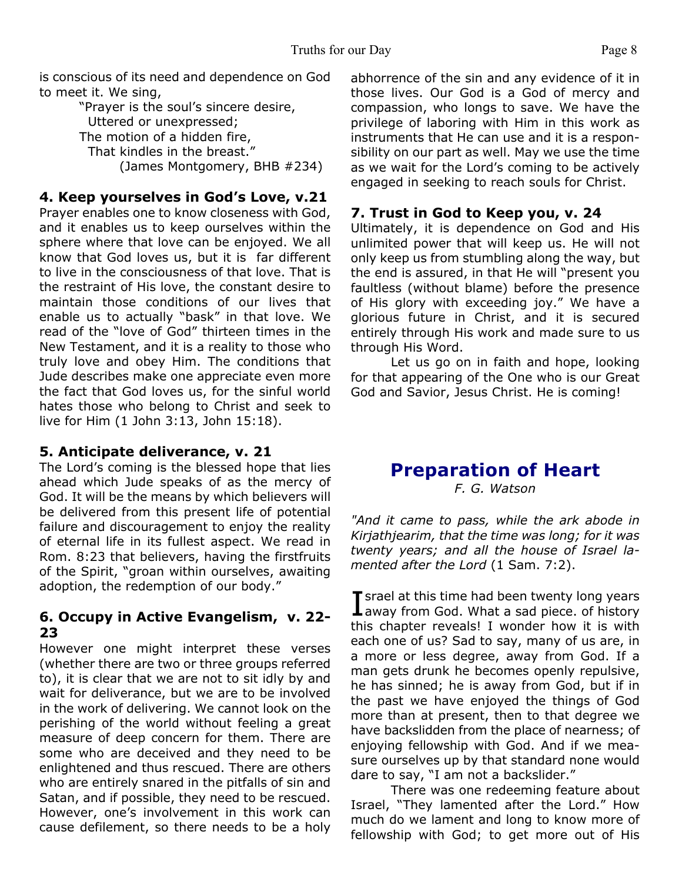is conscious of its need and dependence on God to meet it. We sing,

"Prayer is the soul's sincere desire, Uttered or unexpressed; The motion of a hidden fire, That kindles in the breast." (James Montgomery, BHB #234)

#### **4. Keep yourselves in God's Love, v.21**

Prayer enables one to know closeness with God, and it enables us to keep ourselves within the sphere where that love can be enjoyed. We all know that God loves us, but it is far different to live in the consciousness of that love. That is the restraint of His love, the constant desire to maintain those conditions of our lives that enable us to actually "bask" in that love. We read of the "love of God" thirteen times in the New Testament, and it is a reality to those who truly love and obey Him. The conditions that Jude describes make one appreciate even more the fact that God loves us, for the sinful world hates those who belong to Christ and seek to live for Him (1 John 3:13, John 15:18).

#### **5. Anticipate deliverance, v. 21**

The Lord's coming is the blessed hope that lies ahead which Jude speaks of as the mercy of God. It will be the means by which believers will be delivered from this present life of potential failure and discouragement to enjoy the reality of eternal life in its fullest aspect. We read in Rom. 8:23 that believers, having the firstfruits of the Spirit, "groan within ourselves, awaiting adoption, the redemption of our body."

#### **6. Occupy in Active Evangelism, v. 22- 23**

However one might interpret these verses (whether there are two or three groups referred to), it is clear that we are not to sit idly by and wait for deliverance, but we are to be involved in the work of delivering. We cannot look on the perishing of the world without feeling a great measure of deep concern for them. There are some who are deceived and they need to be enlightened and thus rescued. There are others who are entirely snared in the pitfalls of sin and Satan, and if possible, they need to be rescued. However, one's involvement in this work can cause defilement, so there needs to be a holy

abhorrence of the sin and any evidence of it in those lives. Our God is a God of mercy and compassion, who longs to save. We have the privilege of laboring with Him in this work as instruments that He can use and it is a responsibility on our part as well. May we use the time as we wait for the Lord's coming to be actively engaged in seeking to reach souls for Christ.

#### **7. Trust in God to Keep you, v. 24**

Ultimately, it is dependence on God and His unlimited power that will keep us. He will not only keep us from stumbling along the way, but the end is assured, in that He will "present you faultless (without blame) before the presence of His glory with exceeding joy." We have a glorious future in Christ, and it is secured entirely through His work and made sure to us through His Word.

Let us go on in faith and hope, looking for that appearing of the One who is our Great God and Savior, Jesus Christ. He is coming!

## **Preparation of Heart**

*F. G. Watson*

*"And it came to pass, while the ark abode in Kirjathjearim, that the time was long; for it was twenty years; and all the house of Israel lamented after the Lord* (1 Sam. 7:2).

I srael at this time had been twenty long years<br>away from God. What a sad piece. of history **T** srael at this time had been twenty long years this chapter reveals! I wonder how it is with each one of us? Sad to say, many of us are, in a more or less degree, away from God. If a man gets drunk he becomes openly repulsive, he has sinned; he is away from God, but if in the past we have enjoyed the things of God more than at present, then to that degree we have backslidden from the place of nearness; of enjoying fellowship with God. And if we measure ourselves up by that standard none would dare to say, "I am not a backslider."

 There was one redeeming feature about Israel, "They lamented after the Lord." How much do we lament and long to know more of fellowship with God; to get more out of His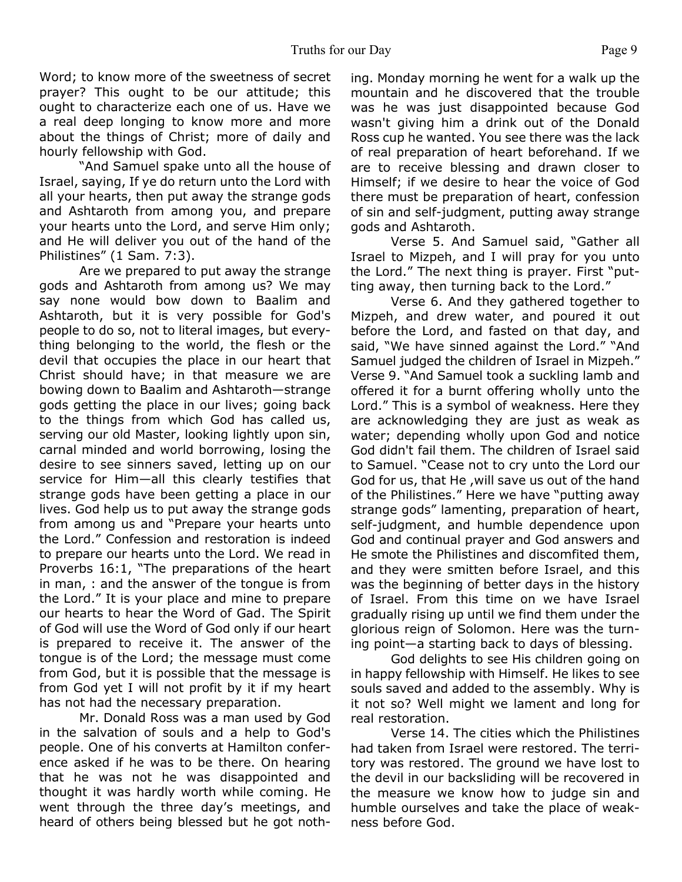Word; to know more of the sweetness of secret prayer? This ought to be our attitude; this ought to characterize each one of us. Have we a real deep longing to know more and more about the things of Christ; more of daily and hourly fellowship with God.

 "And Samuel spake unto all the house of Israel, saying, If ye do return unto the Lord with all your hearts, then put away the strange gods and Ashtaroth from among you, and prepare your hearts unto the Lord, and serve Him only; and He will deliver you out of the hand of the Philistines" (1 Sam. 7:3).

 Are we prepared to put away the strange gods and Ashtaroth from among us? We may say none would bow down to Baalim and Ashtaroth, but it is very possible for God's people to do so, not to literal images, but everything belonging to the world, the flesh or the devil that occupies the place in our heart that Christ should have; in that measure we are bowing down to Baalim and Ashtaroth—strange gods getting the place in our lives; going back to the things from which God has called us, serving our old Master, looking lightly upon sin, carnal minded and world borrowing, losing the desire to see sinners saved, letting up on our service for Him—all this clearly testifies that strange gods have been getting a place in our lives. God help us to put away the strange gods from among us and "Prepare your hearts unto the Lord." Confession and restoration is indeed to prepare our hearts unto the Lord. We read in Proverbs 16:1, "The preparations of the heart in man, : and the answer of the tongue is from the Lord." It is your place and mine to prepare our hearts to hear the Word of Gad. The Spirit of God will use the Word of God only if our heart is prepared to receive it. The answer of the tongue is of the Lord; the message must come from God, but it is possible that the message is from God yet I will not profit by it if my heart has not had the necessary preparation.

 Mr. Donald Ross was a man used by God in the salvation of souls and a help to God's people. One of his converts at Hamilton conference asked if he was to be there. On hearing that he was not he was disappointed and thought it was hardly worth while coming. He went through the three day's meetings, and heard of others being blessed but he got nothing. Monday morning he went for a walk up the mountain and he discovered that the trouble was he was just disappointed because God wasn't giving him a drink out of the Donald Ross cup he wanted. You see there was the lack of real preparation of heart beforehand. If we are to receive blessing and drawn closer to Himself; if we desire to hear the voice of God there must be preparation of heart, confession of sin and self-judgment, putting away strange gods and Ashtaroth.

 Verse 5. And Samuel said, "Gather all Israel to Mizpeh, and I will pray for you unto the Lord." The next thing is prayer. First "putting away, then turning back to the Lord."

 Verse 6. And they gathered together to Mizpeh, and drew water, and poured it out before the Lord, and fasted on that day, and said, "We have sinned against the Lord." "And Samuel judged the children of Israel in Mizpeh." Verse 9. "And Samuel took a suckling lamb and offered it for a burnt offering wholly unto the Lord." This is a symbol of weakness. Here they are acknowledging they are just as weak as water; depending wholly upon God and notice God didn't fail them. The children of Israel said to Samuel. "Cease not to cry unto the Lord our God for us, that He ,will save us out of the hand of the Philistines." Here we have "putting away strange gods" lamenting, preparation of heart, self-judgment, and humble dependence upon God and continual prayer and God answers and He smote the Philistines and discomfited them, and they were smitten before Israel, and this was the beginning of better days in the history of Israel. From this time on we have Israel gradually rising up until we find them under the glorious reign of Solomon. Here was the turning point—a starting back to days of blessing.

 God delights to see His children going on in happy fellowship with Himself. He likes to see souls saved and added to the assembly. Why is it not so? Well might we lament and long for real restoration.

 Verse 14. The cities which the Philistines had taken from Israel were restored. The territory was restored. The ground we have lost to the devil in our backsliding will be recovered in the measure we know how to judge sin and humble ourselves and take the place of weakness before God.